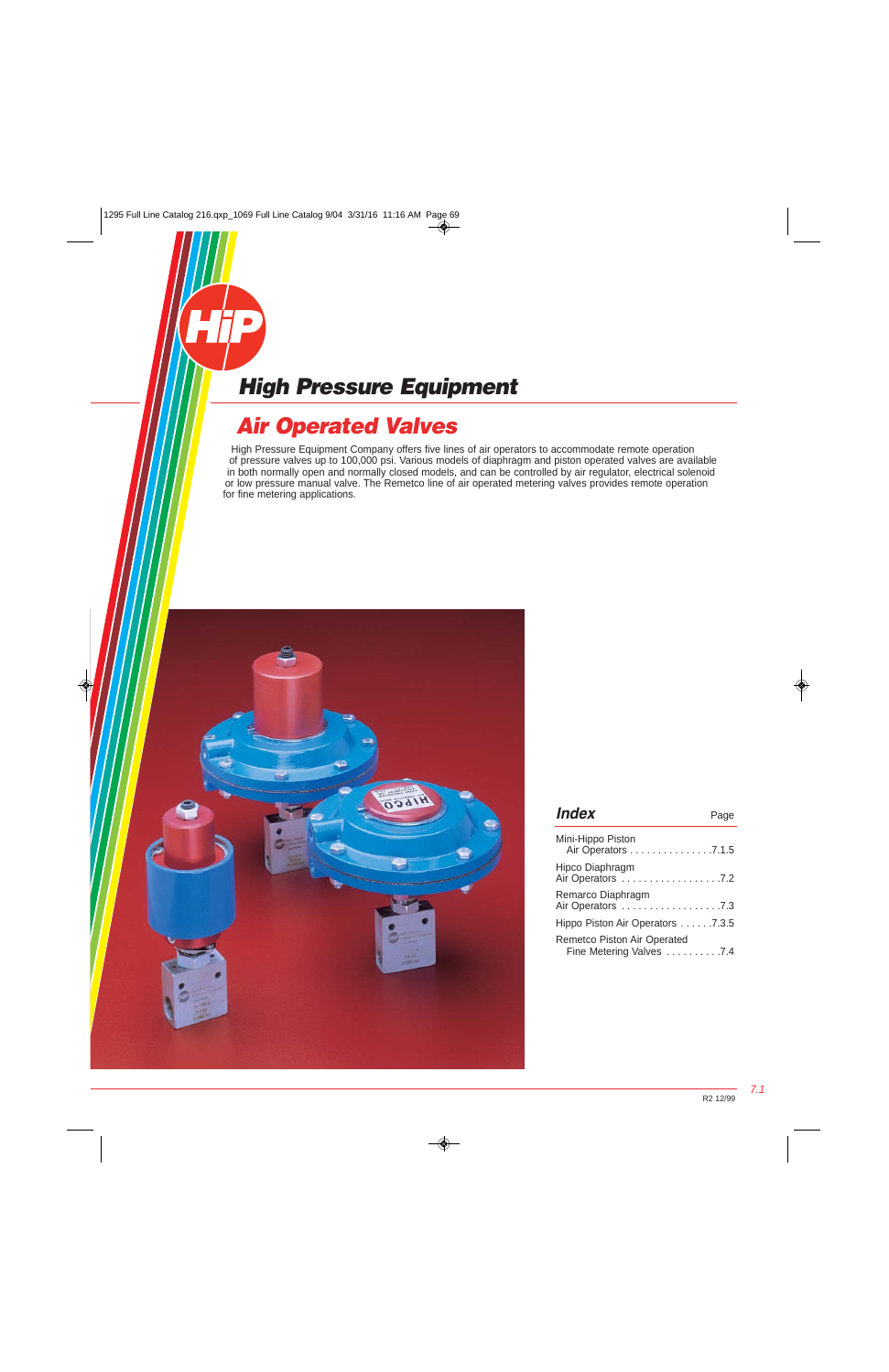# **Air Operated Valves**

High Pressure Equipment Company offers five lines of air operators to accommodate remote operation of pressure valves up to 100,000 psi. Various models of diaphragm and piston operated valves are available in both normally open and normally closed models, and can be controlled by air regulator, electrical solenoid or low pressure manual valve. The Remetco line of air operated metering valves provides remote operation for fine metering applications.



| <i><b>Index</b></i>                                            | Page |
|----------------------------------------------------------------|------|
| Mini-Hippo Piston<br>Air Operators 7.1.5                       |      |
| Hipco Diaphragm<br>Air Operators 7.2                           |      |
| Remarco Diaphragm                                              |      |
| Hippo Piston Air Operators 7.3.5                               |      |
| <b>Remetco Piston Air Operated</b><br>Fine Metering Valves 7.4 |      |

7.1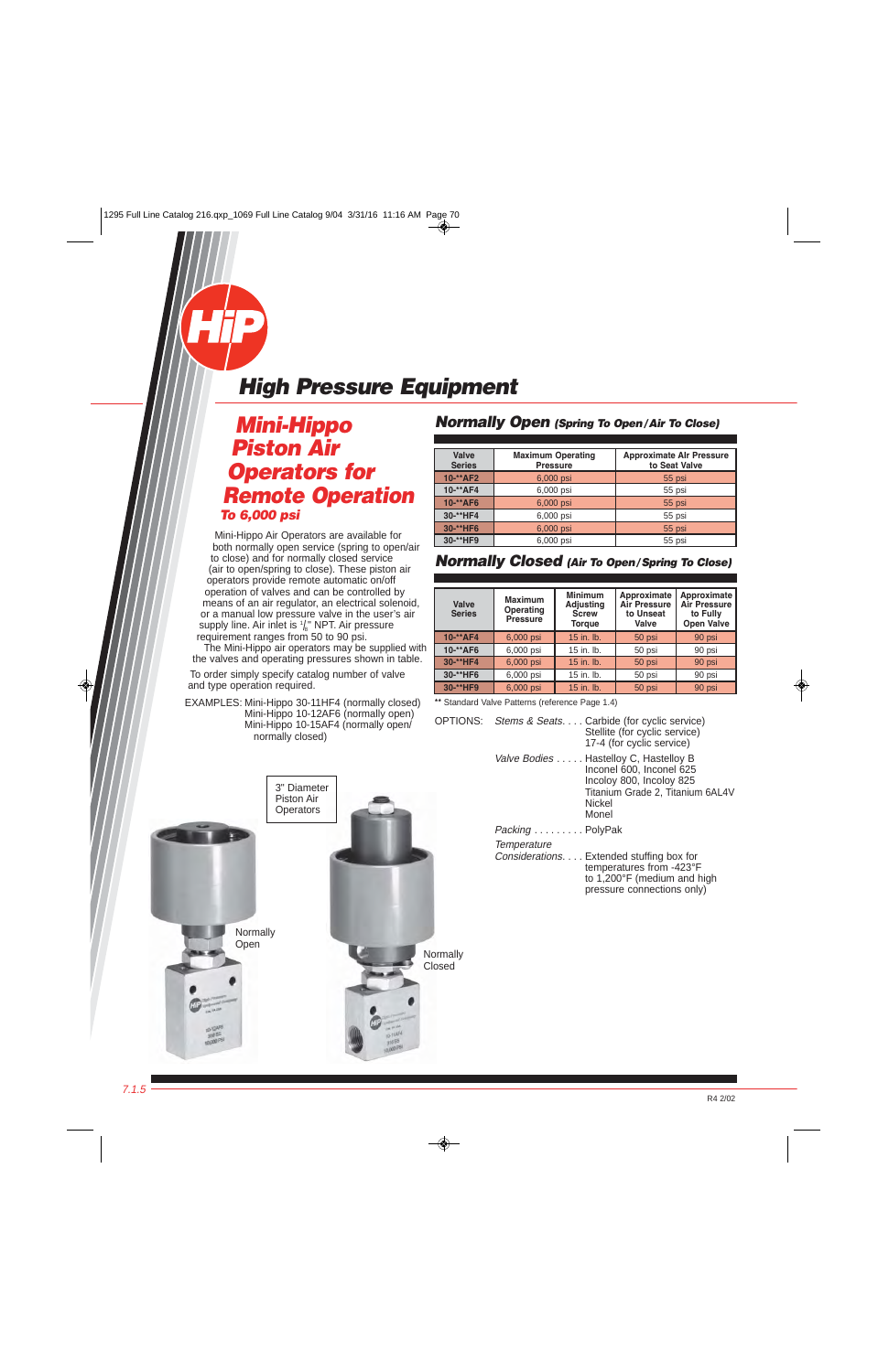### <span id="page-1-0"></span>**Mini-Hippo Piston Air Operators for Remote Operation To 6,000 psi**

Mini-Hippo Air Operators are available for both normally open service (spring to open/air to close) and for normally closed service (air to open/spring to close). These piston air operators provide remote automatic on/off operation of valves and can be controlled by means of an air regulator, an electrical solenoid, or a manual low pressure valve in the user's air supply line. Air inlet is  $\frac{1}{8}$ " NPT. Air pressure requirement ranges from 50 to 90 psi.

The Mini-Hippo air operators may be supplied with the valves and operating pressures shown in table.

To order simply specify catalog number of valve and type operation required.

 EXAMPLES: Mini-Hippo 30-11HF4 (normally closed) Mini-Hippo 10-12AF6 (normally open) Mini-Hippo 10-15AF4 (normally open/ normally closed)



#### **Normally Open (Spring To Open/Air To Close)**

| Valve<br><b>Maximum Operating</b><br><b>Series</b><br><b>Pressure</b> |           | <b>Approximate Alr Pressure</b><br>to Seat Valve |
|-----------------------------------------------------------------------|-----------|--------------------------------------------------|
| 10-**AF2                                                              | 6,000 psi | 55 psi                                           |
| 10-**AF4                                                              | 6,000 psi | 55 psi                                           |
| 10-**AF6<br>6,000 psi                                                 |           | 55 psi                                           |
| 30-**HF4                                                              | 6,000 psi | 55 psi                                           |
| 30-**HF6                                                              | 6,000 psi | 55 psi                                           |
| 30-**HF9                                                              | 6,000 psi | 55 psi                                           |

#### **Normally Closed (Air To Open/Spring To Close)**

| Valve<br><b>Series</b> | <b>Maximum</b><br>Operating<br><b>Pressure</b> | <b>Minimum</b><br><b>Adjusting</b><br><b>Screw</b><br><b>Torque</b> | Approximate<br><b>Air Pressure</b><br>to Unseat<br>Valve | Approximate<br><b>Air Pressure</b><br>to Fully<br><b>Open Valve</b> |
|------------------------|------------------------------------------------|---------------------------------------------------------------------|----------------------------------------------------------|---------------------------------------------------------------------|
| 10-**AF4               | 6,000 psi                                      | 15 in. lb.                                                          | 50 psi                                                   | 90 psi                                                              |
| 10-**AF6               | 6,000 psi                                      | 15 in. lb.                                                          | 50 psi                                                   | 90 psi                                                              |
| 30-**HF4               | 6,000 psi                                      | 15 in. lb.                                                          | 50 psi                                                   | 90 psi                                                              |
| 30-**HF6               | 6,000 psi                                      | 15 in. lb.                                                          | 50 psi                                                   | 90 psi                                                              |
| 30-**HF9               | 6,000 psi                                      | 15 in. lb.                                                          | 50 psi                                                   | 90 psi                                                              |

**\*\*** Standard Valve Patterns (reference Page 1.4)

|                 | OPTIONS: Stems & Seats Carbide (for cyclic service)<br>Stellite (for cyclic service)<br>17-4 (for cyclic service)                                    |
|-----------------|------------------------------------------------------------------------------------------------------------------------------------------------------|
|                 | Valve Bodies Hastelloy C, Hastelloy B<br>Inconel 600, Inconel 625<br>Incoloy 800, Incoloy 825<br>Titanium Grade 2, Titanium 6AL4V<br>Nickel<br>Monel |
| Packing PolyPak |                                                                                                                                                      |
| Temperature     | Considerations. Extended stuffing box for<br>temperatures from -423°F<br>to $1,200^{\circ}$ (medium and high<br>pressure connections only)           |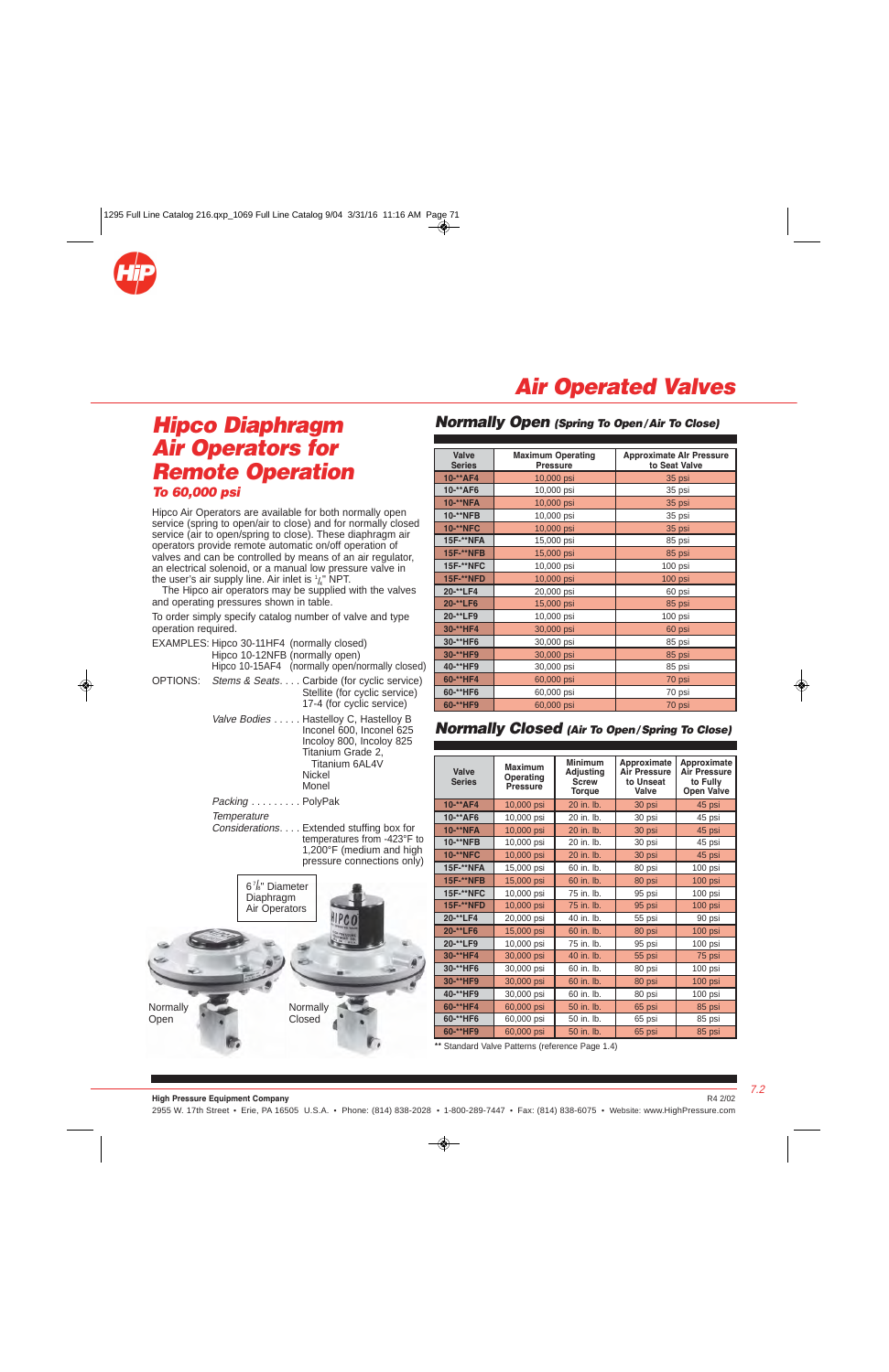<span id="page-2-0"></span>

## **Air Operated Valves**

### **Hipco Diaphragm Air Operators for Remote Operation To 60,000 psi**

Hipco Air Operators are available for both normally open service (spring to open/air to close) and for normally closed service (air to open/spring to close). These diaphragm air operators provide remote automatic on/off operation of valves and can be controlled by means of an air regulator, an electrical solenoid, or a manual low pressure valve in the user's air supply line. Air inlet is  $\frac{1}{4}$  NPT.

 The Hipco air operators may be supplied with the valves and operating pressures shown in table.

To order simply specify catalog number of valve and type operation required.

| EXAMPLES: Hipco 30-11HF4 (normally closed)<br>Hipco 10-12NFB (normally open) | Hipco 10-15AF4 (normally open/normally closed)                                                                                        |
|------------------------------------------------------------------------------|---------------------------------------------------------------------------------------------------------------------------------------|
|                                                                              | OPTIONS: Stems & Seats Carbide (for cyclic service)<br>Stellite (for cyclic service)<br>17-4 (for cyclic service)                     |
|                                                                              | Valve Bodies Hastelloy C, Hastelloy B<br>Inconel 600, Inconel 625<br>Incoloy 800, Incoloy 825<br>Titanium Grade 2,<br>Titanium 6AI 4V |

Packing . . . . . . . . . PolyPak

**Temperature** 

 Considerations. . . . Extended stuffing box for temperatures from -423°F to  $1,200$ °F (medium and high pressure connections only)

Nickel **Monel** 



#### **Normally Open (Spring To Open/Air To Close)**

| Valve<br><b>Series</b>         | <b>Maximum Operating</b><br><b>Pressure</b> | <b>Approximate Alr Pressure</b><br>to Seat Valve |  |  |
|--------------------------------|---------------------------------------------|--------------------------------------------------|--|--|
| 10-**AF4                       | 10,000 psi                                  | 35 psi                                           |  |  |
| 10-**AF6                       | 10,000 psi                                  | 35 psi                                           |  |  |
| 10-**NFA                       | 10,000 psi                                  | 35 psi                                           |  |  |
| 10-**NFB                       | 10,000 psi                                  | 35 psi                                           |  |  |
| <b>10-**NFC</b>                | 10,000 psi                                  | 35 psi                                           |  |  |
| 15F-**NFA                      | 15,000 psi                                  | 85 psi                                           |  |  |
| <b>15F-**NFB</b>               | 15,000 psi                                  | 85 psi                                           |  |  |
| <b>15F-**NFC</b><br>10,000 psi |                                             | $100$ psi                                        |  |  |
| <b>15F-**NFD</b><br>10,000 psi |                                             | 100 psi                                          |  |  |
| 20-**LF4<br>20,000 psi         |                                             | 60 psi                                           |  |  |
| 20-**LF6<br>15,000 psi         |                                             | 85 psi                                           |  |  |
| 20-**LF9<br>10,000 psi         |                                             | $100$ psi                                        |  |  |
| 30-**HF4                       | 30,000 psi                                  | 60 psi                                           |  |  |
| 30-**HF6                       | 30,000 psi                                  | 85 psi                                           |  |  |
| 30-**HF9                       | 30,000 psi                                  | 85 psi                                           |  |  |
| 40-**HF9                       | 30,000 psi                                  | 85 psi                                           |  |  |
| 60-**HF4                       | 60,000 psi                                  | 70 psi                                           |  |  |
| 60-**HF6                       | 60,000 psi                                  | 70 psi                                           |  |  |
| 60-**HF9                       | 60,000 psi                                  | 70 psi                                           |  |  |

#### **Normally Closed (Air To Open/Spring To Close)**

| Valve<br><b>Series</b> | <b>Maximum</b><br>Operating<br><b>Pressure</b> | <b>Minimum</b><br>Approximate<br><b>Adjusting</b><br><b>Air Pressure</b><br>to Unseat<br><b>Screw</b><br>Valve<br><b>Torque</b> |        | Approximate<br><b>Air Pressure</b><br>to Fully<br><b>Open Valve</b> |  |
|------------------------|------------------------------------------------|---------------------------------------------------------------------------------------------------------------------------------|--------|---------------------------------------------------------------------|--|
| 10-**AF4               | 10,000 psi                                     | 20 in. lb.                                                                                                                      | 30 psi | 45 psi                                                              |  |
| 10-**AF6               | 10,000 psi                                     | 20 in. lb.                                                                                                                      | 30 psi | 45 psi                                                              |  |
| <b>10-**NFA</b>        | 10,000 psi                                     | 20 in. lb.                                                                                                                      | 30 psi | 45 psi                                                              |  |
| 10-**NFB               | 10,000 psi                                     | 20 in. lb.                                                                                                                      | 30 psi | 45 psi                                                              |  |
| <b>10-**NFC</b>        | 10,000 psi                                     | 20 in. lb.                                                                                                                      | 30 psi | 45 psi                                                              |  |
| 15F-**NFA              | 15,000 psi                                     | 60 in. lb.                                                                                                                      | 80 psi | 100 psi                                                             |  |
| <b>15F-**NFB</b>       | 15,000 psi                                     | 60 in. lb.                                                                                                                      | 80 psi | 100 psi                                                             |  |
| <b>15F-**NFC</b>       | 10,000 psi                                     | 75 in. lb.                                                                                                                      | 95 psi | 100 psi                                                             |  |
| <b>15F-**NFD</b>       | 10,000 psi                                     | 75 in. lb.                                                                                                                      | 95 psi | 100 psi                                                             |  |
| 20-**LF4               | 20,000 psi                                     | 40 in. lb.                                                                                                                      | 55 psi | 90 psi                                                              |  |
| 20-**LF6               | 15,000 psi                                     | 60 in. lb.                                                                                                                      | 80 psi | 100 psi                                                             |  |
| 20-**LF9               | 10,000 psi                                     | 75 in. lb.                                                                                                                      | 95 psi | 100 psi                                                             |  |
| 30-**HF4               | 30,000 psi                                     | 40 in. lb.                                                                                                                      | 55 psi | 75 psi                                                              |  |
| 30-**HF6               | 30,000 psi                                     | 60 in. lb.                                                                                                                      | 80 psi | 100 psi                                                             |  |
| 30-**HF9               | 30,000 psi                                     | 60 in. lb.                                                                                                                      | 80 psi | 100 psi                                                             |  |
| 40-**HF9               | 30,000 psi                                     | 60 in. lb.                                                                                                                      | 80 psi | 100 psi                                                             |  |
| 60-**HF4               | 60,000 psi                                     | 50 in. lb.                                                                                                                      | 65 psi | 85 psi                                                              |  |
| 60-**HF6               | 60,000 psi                                     | 50 in. lb.                                                                                                                      | 65 psi | 85 psi                                                              |  |
| 60-**HF9               | 60,000 psi                                     | 50 in. lb.                                                                                                                      | 65 psi | 85 psi                                                              |  |

**\*\*** Standard Valve Patterns (reference Page 1.4)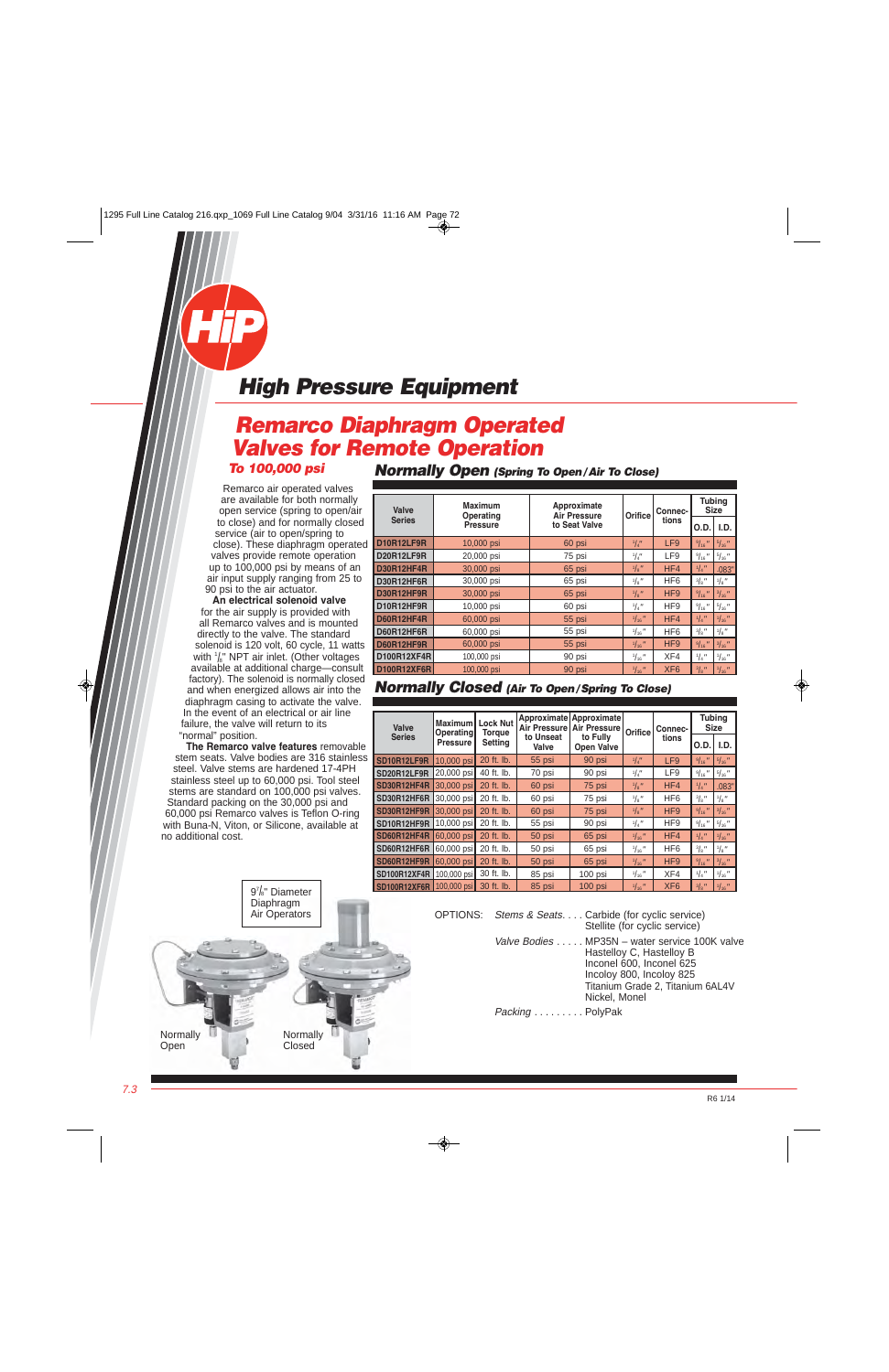# <span id="page-3-0"></span>**Remarco Diaphragm Operated Valves for Remote Operation**

**To 100,000 psi** 

Remarco air operated valves are available for both normally open service (spring to open/air to close) and for normally closed service (air to open/spring to close). These diaphragm operated valves provide remote operation up to 100,000 psi by means of an air input supply ranging from 25 to 90 psi to the air actuator.

**An electrical solenoid valve** for the air supply is provided with all Remarco valves and is mounted directly to the valve. The standard solenoid is 120 volt, 60 cycle, 11 watts with  $\frac{1}{8}$ " NPT air inlet. (Other voltages available at additional charge—consult factory). The solenoid is normally closed and when energized allows air into the diaphragm casing to activate the valve. In the event of an electrical or air line failure, the valve will return to its "normal" position.

**The Remarco valve features** removable stem seats. Valve bodies are 316 stainless steel. Valve stems are hardened 17-4PH stainless steel up to 60,000 psi. Tool steel stems are standard on 100,000 psi valves. Standard packing on the 30,000 psi and 60,000 psi Remarco valves is Teflon O-ring with Buna-N, Viton, or Silicone, available at no additional cost.

> 97 /8" Diameter Diaphragm Air Operators



**Normally Open (Spring To Open/Air To Close)**

| Valve              | <b>Maximum</b><br>Approximate<br>Orifice<br><b>Air Pressure</b><br>Operating |               | Connec-          | <b>Tubing</b><br><b>Size</b> |                 |                  |
|--------------------|------------------------------------------------------------------------------|---------------|------------------|------------------------------|-----------------|------------------|
| <b>Series</b>      | <b>Pressure</b>                                                              | to Seat Valve |                  | tions                        | O.D.            | I.D.             |
| <b>D10R12LF9R</b>  | 10,000 psi                                                                   | 60 psi        | 1/4''            | LF9                          | 9/16            | 5/16             |
| <b>D20R12LF9R</b>  | 20,000 psi                                                                   | 75 psi        | $^{1}/_{4}$ "    | LF9                          | 9/16            | 5/16             |
| <b>D30R12HF4R</b>  | 30,000 psi                                                                   | 65 psi        | $\frac{1}{8}$    | HF4                          | $\frac{1}{4}$   | .083"            |
| D30R12HF6R         | 30,000 psi                                                                   | 65 psi        | $\frac{1}{8}$    | HF <sub>6</sub>              | $\frac{3}{8}$ " | $\frac{1}{8}$ "  |
| <b>D30R12HF9R</b>  | 30,000 psi                                                                   | 65 psi        | $\frac{1}{8}$    | HF <sub>9</sub>              | 9/16            | $\frac{3}{16}$ " |
| D10R12HF9R         | 10,000 psi                                                                   | 60 psi        | $\frac{1}{4}$    | HF <sub>9</sub>              | 9/16            | 5/16             |
| <b>D60R12HF4R</b>  | 60,000 psi                                                                   | 55 psi        | 1/16             | HF4                          | $\frac{1}{4}$   | $1/16$ "         |
| D60R12HF6R         | 60,000 psi                                                                   | 55 psi        | $\frac{1}{16}$ " | HF <sub>6</sub>              | $\frac{3}{8}$ " | $\frac{1}{8}$ "  |
| <b>D60R12HF9R</b>  | 60,000 psi                                                                   | 55 psi        | $\frac{1}{16}$   | HF <sub>9</sub>              | 9/16            | $\frac{3}{16}$ " |
| D100R12XF4R        | 100,000 psi                                                                  | 90 psi        | $\frac{1}{16}$ " | XF4                          | $\frac{1}{4}$   | $\frac{1}{16}$ " |
| <b>D100R12XF6R</b> | 100,000 psi                                                                  | 90 psi        | $\frac{1}{16}$ " | XF <sub>6</sub>              | $\frac{3}{8}$ " | $\frac{1}{16}$ " |

#### **Normally Closed (Air To Open/Spring To Close)**

| Valve               | <b>Maximum</b><br><b>Operating</b> | <b>Lock Nut</b><br>Torque | <b>Air Pressure</b> | Approximate Approximate<br><b>Air Pressure</b> | Orifice          | Connec-         | <b>Tubing</b><br><b>Size</b> |                  |
|---------------------|------------------------------------|---------------------------|---------------------|------------------------------------------------|------------------|-----------------|------------------------------|------------------|
| <b>Series</b>       | <b>Pressure</b>                    | <b>Setting</b>            | to Unseat<br>Valve  | to Fully<br><b>Open Valve</b>                  |                  | tions           | O.D.                         | I.D.             |
| SD10R12LF9R         | $10,000$ psi                       | 20 ft. lb.                | 55 psi              | 90 psi                                         | $\frac{1}{4}$    | LF9             | 9/16                         | 5/16             |
| SD20R12LF9R         | 20,000 psi                         | 40 ft. lb.                | 70 psi              | 90 psi                                         | $^{1}/_{4}$ "    | LF9             | 9/16<br>$^{\prime\prime}$    | 5/16             |
| SD30R12HF4R         | $30,000$ psi                       | 20 ft. lb.                | 60 psi              | 75 psi                                         | $\frac{1}{8}$ "  | HF4             | $\frac{1}{4}$                | .083"            |
| SD30R12HF6R         | 30,000 psi                         | 20 ft. lb.                | 60 psi              | 75 psi                                         | $\frac{1}{8}$ "  | HF <sub>6</sub> | $\frac{3}{8}$ "              | $\frac{1}{8}$ "  |
| SD30R12HF9R         | $30.000$ psi                       | 20 ft. lb.                | 60 psi              | 75 psi                                         | $\frac{1}{8}$ "  | HF <sub>9</sub> | 9/16                         | $\frac{3}{16}$ " |
| SD10R12HF9R         | 10,000 psi                         | 20 ft. lb.                | 55 psi              | 90 psi                                         | $\frac{1}{4}$    | HF <sub>9</sub> | 9/16                         | 5/16             |
| SD60R12HF4R         | $60,000$ psi                       | 20 ft. lb.                | 50 psi              | 65 psi                                         | $\frac{1}{16}$ " | HF4             | $\frac{1}{4}$                | $1/16$ "         |
| SD60R12HF6R         | 60,000 psi                         | 20 ft. lb.                | 50 psi              | 65 psi                                         | $\frac{1}{16}$ " | HF <sub>6</sub> | $\frac{3}{8}$ "              | $\frac{1}{8}$ "  |
| SD60R12HF9R         | $60.000$ psi                       | 20 ft. lb.                | 50 psi              | 65 psi                                         | $\frac{1}{16}$ " | HF <sub>9</sub> | 9/16                         | $\frac{3}{16}$ " |
| <b>SD100R12XF4R</b> | 100.000 psi                        | 30 ft. lb.                | 85 psi              | $100$ psi                                      | $\frac{1}{16}$ " | XF4             | $\frac{1}{4}$                | $\frac{1}{16}$ " |
| <b>SD100R12XF6R</b> | 100,000 psi                        | 30 ft. lb.                | 85 psi              | $100$ psi                                      | $\frac{1}{16}$ " | XF <sub>6</sub> | $^{3}/_{8}$ "                | $1/16$ "         |

OPTIONS: Stems & Seats. . . . Carbide (for cyclic service)

Stellite (for cyclic service) Valve Bodies . . . . . MP35N - water service 100K valve

Hastelloy C, Hastelloy B Inconel 600, Inconel 625 Incoloy 800, Incoloy 825 Titanium Grade 2, Titanium 6AL4V Nickel, Monel

Packing . . . . . . . . . PolyPak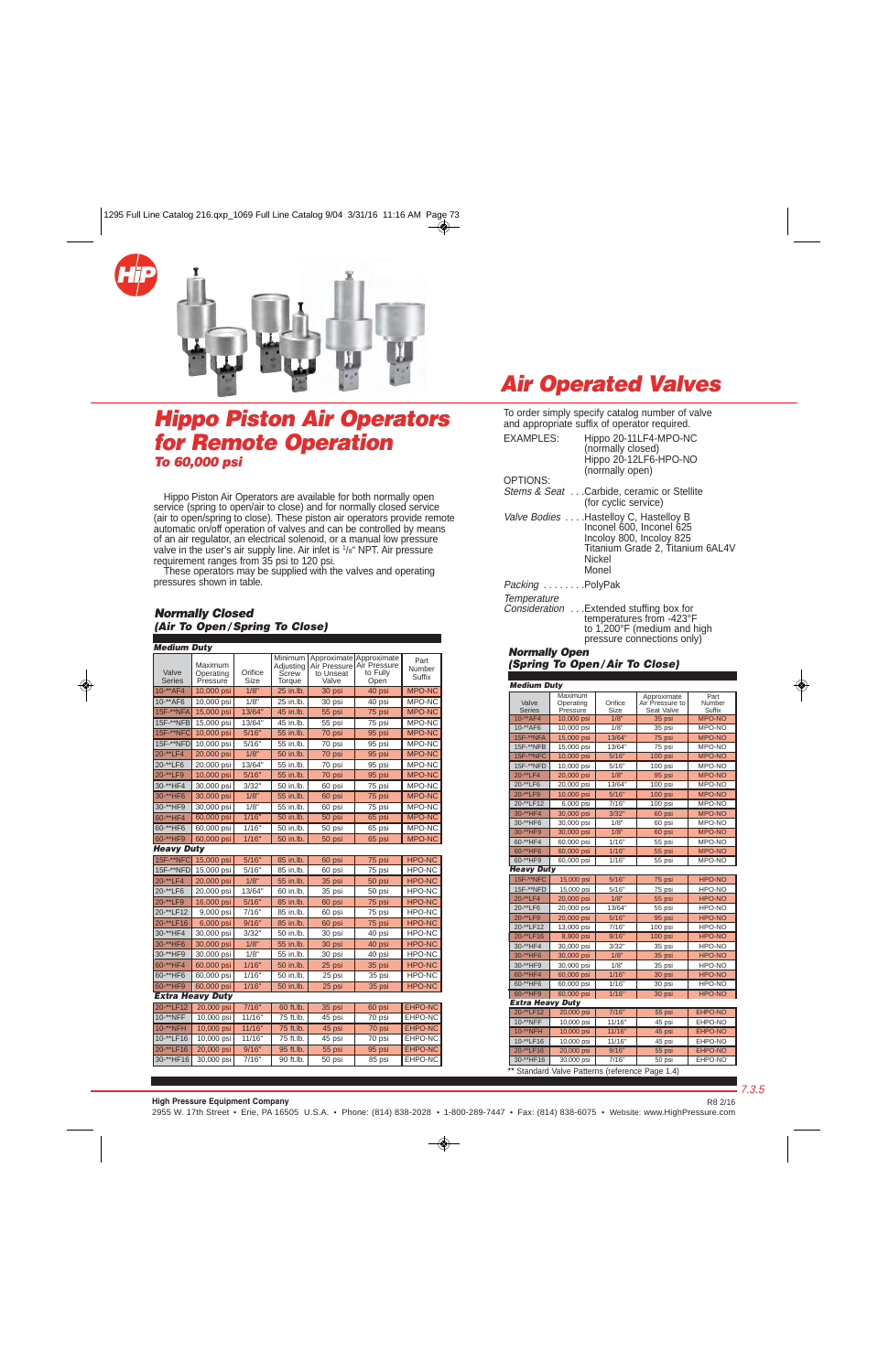<span id="page-4-0"></span>

### **Hippo Piston Air Operators for Remote Operation To 60,000 psi**

 Hippo Piston Air Operators are available for both normally open service (spring to open/air to close) and for normally closed service (air to open/spring to close). These piston air operators provide remote automatic on/off operation of valves and can be controlled by means of an air regulator, an electrical solenoid, or a manual low pressure valve in the user's air supply line. Air inlet is <sup>1</sup>/8" NPT. Air pressure requirement ranges from 35 psi to 120 psi.

 These operators may be supplied with the valves and operating pressures shown in table.

#### **Normally Closed (Air To Open / Spring To Close)**

| <b>Medium Duty</b>     |                                  |                 |                                                |                                    |                                                             |                          |
|------------------------|----------------------------------|-----------------|------------------------------------------------|------------------------------------|-------------------------------------------------------------|--------------------------|
| Valve<br><b>Series</b> | Maximum<br>Operating<br>Pressure | Orifice<br>Size | Minimum<br>Adjusting<br><b>Screw</b><br>Torque | Air Pressure<br>to Unseat<br>Valve | Approximate Approximate<br>Air Pressure<br>to Fully<br>Open | Part<br>Number<br>Suffix |
| $10 - \times AFA$      | 10,000 psi                       | 1/8"            | 25 in.lb.                                      | 30 psi                             | 40 psi                                                      | MPO-NC                   |
| 10-**AF6               | 10,000 psi                       | 1/8"            | 25 in.lb.                                      | 30 psi                             | 40 psi                                                      | MPO-NC                   |
| 15F-**NFA              | 15,000 psi                       | 13/64"          | 45 in.lb.                                      | 55 psi                             | 75 psi                                                      | MPO-NC                   |
| 15F-**NFB              | 15,000 psi                       | 13/64"          | 45 in lb.                                      | 55 psi                             | 75 psi                                                      | MPO-NC                   |
| 15F-**NFC              | 10,000 psi                       | 5/16"           | 55 in.lb.                                      | 70 psi                             | 95 psi                                                      | <b>MPO-NC</b>            |
| 15F-**NFD              | 10,000 psi                       | 5/16"           | 55 in.lb.                                      | 70 psi                             | 95 psi                                                      | MPO-NC                   |
| 20-**LF4               | 20,000 psi                       | 1/8"            | 50 in.lb.                                      | 70 psi                             | 95 psi                                                      | <b>MPO-NC</b>            |
| 20-**LF6               | 20,000 psi                       | 13/64"          | 55 in.lb.                                      | 70 psi                             | 95 psi                                                      | MPO-NC                   |
| 20-**LF9               | 10,000 psi                       | 5/16"           | 55 in.lb.                                      | 70 psi                             | 95 psi                                                      | <b>MPO-NC</b>            |
| 30-**HF4               | 30,000 psi                       | 3/32"           | 50 in.lb.                                      | 60 psi                             | 75 psi                                                      | MPO-NC                   |
| 30-**HF6               | 30,000 psi                       | 1/8"            | 55 in.lb.                                      | 60 psi                             | 75 psi                                                      | MPO-NC                   |
| 30-**HF9               | 30,000 psi                       | 1/8"            | 55 in.lb.                                      | 60 psi                             | 75 psi                                                      | MPO-NC                   |
| 60-**HF4               | 60,000 psi                       | 1/16"           | 50 in.lb.                                      | 50 psi                             | 65 psi                                                      | <b>MPO-NC</b>            |
| 60-**HF6               | 60,000 psi                       | 1/16"           | 50 in.lb.                                      | 50 psi                             | 65 psi                                                      | MPO-NC                   |
| 60-**HF9               | 60,000 psi                       | 1/16"           | 50 in.lb.                                      | 50 psi                             | 65 psi                                                      | <b>MPO-NC</b>            |
| Heavy Duty             |                                  |                 |                                                |                                    |                                                             |                          |
| 15F-**NFC              | 15,000 psi                       | 5/16"           | 85 in.lb.                                      | 60 psi                             | 75 psi                                                      | <b>HPO-NC</b>            |
| 15F-**NFD              | 15,000 psi                       | 5/16"           | 85 in.lb.                                      | 60 psi                             | 75 psi                                                      | HPO-NC                   |
| 20-**LF4               | 20,000 psi                       | 1/8"            | 55 in.lb.                                      | 35 psi                             | 50 psi                                                      | <b>HPO-NC</b>            |
| 20-**LF6               | 20,000 psi                       | 13/64"          | 60 in.lb.                                      | 35 psi                             | 50 psi                                                      | HPO-NC                   |
| 20-**LF9               | 16,000 psi                       | 5/16"           | 85 in.lb.                                      | 60 psi                             | 75 psi                                                      | <b>HPO-NC</b>            |
| 20-**LF12              | 9,000 psi                        | 7/16"           | 85 in.lb.                                      | 60 psi                             | 75 psi                                                      | HPO-NC                   |
| 20-**LF16              | 6,000 psi                        | 9/16"           | 85 in.lb.                                      | 60 psi                             | 75 psi                                                      | <b>HPO-NC</b>            |
| 30-**HF4               | 30,000 psi                       | 3/32"           | 50 in.lb.                                      | 30 psi                             | 40 psi                                                      | <b>HPO-NC</b>            |
| 30-**HF6               | 30,000 psi                       | 1/8"            | 55 in.lb.                                      | 30 psi                             | 40 psi                                                      | <b>HPO-NC</b>            |
| 30-**HF9               | 30,000 psi                       | 1/8"            | 55 in.lb.                                      | 30 psi                             | 40 psi                                                      | HPO-NC                   |
| 60-**HF4               | 60,000 psi                       | 1/16"           | 50 in.lb.                                      | 25 psi                             | 35 psi                                                      | <b>HPO-NC</b>            |
| 60-**HF6               | 60.000 psi                       | 1/16"           | 50 in.lb.                                      | 25 psi                             | 35 psi                                                      | HPO-NC                   |
| 60-**HF9               | 60.000 psi                       | 1/16"           | 50 in.lb.                                      | 25 psi                             | 35 psi                                                      | <b>HPO-NC</b>            |
|                        | <b>Extra Heavy Duty</b>          |                 |                                                |                                    |                                                             |                          |
| 20-**LF12              | 20,000 psi                       | 7/16"           | 60 ft.lb.                                      | 35 psi                             | 60 psi                                                      | EHPO-NC                  |
| 10-**NFF               | $\overline{10}$ ,000 psi         | 11/16"          | 75 ft.lb.                                      | $\overline{45}$ psi                | $\overline{7}0$ psi                                         | EHPO-NC                  |
| 10-**NFH               | 10,000 psi                       | 11/16"          | 75 ft.lb.                                      | 45 psi                             | 70 psi                                                      | EHPO-NC                  |
| 10-**LF16              | $10,000$ psi                     | 11/16"          | 75 ft.lb.                                      | 45 psi                             | 70 psi                                                      | EHPO-NC                  |
| 20-**LF16              | 20.000 psi                       | 9/16"           | 95 ft.lb.                                      | 55 psi                             | 95 psi                                                      | <b>EHPO-NC</b>           |
| 30-**HF16              | 30,000 psi                       | 7/16"           | 90 ft.lb.                                      | 50 psi                             | 85 psi                                                      | EHPO-NC                  |

## **Air Operated Valves**

To order simply specify catalog number of valve and appropriate suffix of operator required.

| <b>EXAMPLES:</b>         | Hippo 20-11LF4-MPO-NC<br>(normally closed)<br>Hippo 20-12LF6-HPO-NO<br>(normally open)                                                                |
|--------------------------|-------------------------------------------------------------------------------------------------------------------------------------------------------|
| OPTIONS:                 |                                                                                                                                                       |
|                          | Stems & Seat Carbide, ceramic or Stellite<br>(for cyclic service)                                                                                     |
|                          | Valve Bodies  Hastelloy C, Hastelloy B<br>Inconel 600, Inconel 625<br>Incoloy 800, Incoloy 825<br>Titanium Grade 2, Titanium 6AL4V<br>Nickel<br>Monel |
| <i>Packing </i> .PolyPak |                                                                                                                                                       |
| Tamparatura              |                                                                                                                                                       |

Temperature<br>Consideration . . .Extended stuffing box for Consideration . . .Extended stuffing box for . . . . . . . . . . . .temperatures from -423°F . . . . . . . . . . . .to 1,200°F (medium and high . . . . . . . . . . . .pressure connections only)

#### **Normally Open (Spring To Open / Air To Close)**

| <b>Medium Duty</b>      |                                  |                 |                                              |                          |
|-------------------------|----------------------------------|-----------------|----------------------------------------------|--------------------------|
| Valve<br><b>Series</b>  | Maximum<br>Operating<br>Pressure | Orifice<br>Size | Approximate<br>Air Pressure to<br>Seat Valve | Part<br>Number<br>Suffix |
| $10^{-**}$ AF4          | 10,000 psi                       | 1/8"            | 35 psi                                       | <b>MPO-NO</b>            |
| 10-**AF6                | 10,000 psi                       | 1/8"            | $35$ psi                                     | MPO-NO                   |
| 15F-**NFA               | 15,000 psi                       | 13/64"          | 75 psi                                       | <b>MPO-NO</b>            |
| 15F-**NFB               | 15,000 psi                       | 13/64"          | 75 psi                                       | MPO-NO                   |
| <b>15F-**NFC</b>        | 10,000 psi                       | 5/16"           | 100 psi                                      | <b>MPO-NO</b>            |
| 15F-**NFD               | 10,000 psi                       | 5/16"           | 100 psi                                      | MPO-NO                   |
| 20-**LF4                | 20,000 psi                       | 1/8"            | 95 psi                                       | <b>MPO-NO</b>            |
| 20-**LF6                | 20,000 psi                       | 13/64"          | 100 psi                                      | MPO-NO                   |
| 20-**LF9                | 10,000 psi                       | 5/16"           | 100 psi                                      | <b>MPO-NO</b>            |
| 20-**LF12               | 6,000 psi                        | 7/16"           | $100$ psi                                    | MPO-NO                   |
| 30-**HF4                | 30,000 psi                       | 3/32"           | 60 psi                                       | <b>MPO-NO</b>            |
| 30-**HF6                | 30,000 psi                       | 1/8"            | 60 psi                                       | MPO-NO                   |
| 30-**HF9                | 30,000 psi                       | 1/8"            | 60 psi                                       | <b>MPO-NO</b>            |
| 60-**HF4                | 60,000 psi                       | 1/16"           | 55 psi                                       | MPO-NO                   |
| 60-**HF6                | 60,000 psi                       | 1/16"           | 55 psi                                       | <b>MPO-NO</b>            |
| 60-**HF9                | 60,000 psi                       | 1/16"           | 55 psi                                       | MPO-NO                   |
| <b>Heavy Duty</b>       |                                  |                 |                                              |                          |
| 15F-**NFC               | 15,000 psi                       | 5/16"           | 75 psi                                       | <b>HPO-NO</b>            |
| 15F-**NFD               | 15,000 psi                       | 5/16"           | 75 psi                                       | HPO-NO                   |
| 20-**LF4                | 20,000 psi                       | 1/8"            | 55 psi                                       | <b>HPO-NO</b>            |
| 20-**LF6                | 20,000 psi                       | 13/64"          | 55 psi                                       | HPO-NO                   |
| 20-**LF9                | 20,000 psi                       | 5/16"           | 95 psi                                       | <b>HPO-NO</b>            |
| 20-**LF12               | 13,000 psi                       | 7/16"           | 100 psi                                      | HPO-NO                   |
| 20-**LF16               | 8,800 psi                        | 9/16"           | 100 psi                                      | <b>HPO-NO</b>            |
| 30-**HF4                | 30,000 psi                       | 3/32"           | 35 psi                                       | HPO-NO                   |
| 30-**HF6                | 30,000 psi                       | 1/8"            | 35 psi                                       | <b>HPO-NO</b>            |
| 30-**HF9                | 30,000 psi                       | 1/8"            | 35 psi                                       | HPO-NO                   |
| 60-**HF4                | 60,000 psi                       | 1/16"           | 30 psi                                       | <b>HPO-NO</b>            |
| 60-**HF6                | 60,000 psi                       | 1/16"           | 30 psi                                       | HPO-NO                   |
| 60-**HF9                | 60,000 psi                       | 1/16"           | $30$ psi                                     | <b>HPO-NO</b>            |
| <b>Extra Heavy Duty</b> |                                  |                 |                                              |                          |
| 20-**LF12               | 20,000 psi                       | 7/16"           | 55 psi                                       | EHPO-NO                  |
| 10-**NFF                | 10,000 psi                       | 11/16"          | 45 psi                                       | EHPO-NO                  |
| 10-**NFH                | 10,000 psi                       | 11/16"          | 45 psi                                       | <b>EHPO-NO</b>           |
| 10-**LF16               | 10,000 psi                       | 11/16"          | 45 psi                                       | EHPO-NO                  |
| 20-**LF16               | 20,000 psi                       | 9/16"           | 55 psi                                       | EHPO-NO                  |
| 30-**HF16               | $30,000$ psi                     | 7/16"           | $50$ psi                                     | EHPO-NO                  |

**\*\*** Standard Valve Patterns (reference Page 1.4)

**High Pressure Equipment Company**

R8 2/16

2955 W. 17th Street • Erie, PA 16505 U.S.A. • Phone: (814) 838-2028 • 1-800-289-7447 • Fax: (814) 838-6075 • [Website: www.HighPressure.com](www.HighPressure.com)